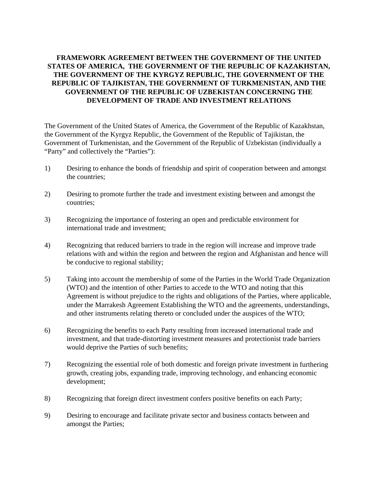# **FRAMEWORK AGREEMENT BETWEEN THE GOVERNMENT OF THE UNITED STATES OF AMERICA, THE GOVERNMENT OF THE REPUBLIC OF KAZAKHSTAN, THE GOVERNMENT OF THE KYRGYZ REPUBLIC, THE GOVERNMENT OF THE REPUBLIC OF TAJIKISTAN, THE GOVERNMENT OF TURKMENISTAN, AND THE GOVERNMENT OF THE REPUBLIC OF UZBEKISTAN CONCERNING THE DEVELOPMENT OF TRADE AND INVESTMENT RELATIONS**

The Government of the United States of America, the Government of the Republic of Kazakhstan, the Government of the Kyrgyz Republic, the Government of the Republic of Tajikistan, the Government of Turkmenistan, and the Government of the Republic of Uzbekistan (individually a "Party" and collectively the "Parties"):

- 1) Desiring to enhance the bonds of friendship and spirit of cooperation between and amongst the countries;
- 2) Desiring to promote further the trade and investment existing between and amongst the countries;
- 3) Recognizing the importance of fostering an open and predictable environment for international trade and investment;
- 4) Recognizing that reduced barriers to trade in the region will increase and improve trade relations with and within the region and between the region and Afghanistan and hence will be conducive to regional stability;
- 5) Taking into account the membership of some of the Parties in the World Trade Organization (WTO) and the intention of other Parties to accede to the WTO and noting that this Agreement is without prejudice to the rights and obligations of the Parties, where applicable, under the Marrakesh Agreement Establishing the WTO and the agreements, understandings, and other instruments relating thereto or concluded under the auspices of the WTO;
- 6) Recognizing the benefits to each Party resulting from increased international trade and investment, and that trade-distorting investment measures and protectionist trade barriers would deprive the Parties of such benefits;
- 7) Recognizing the essential role of both domestic and foreign private investment in furthering growth, creating jobs, expanding trade, improving technology, and enhancing economic development;
- 8) Recognizing that foreign direct investment confers positive benefits on each Party;
- 9) Desiring to encourage and facilitate private sector and business contacts between and amongst the Parties;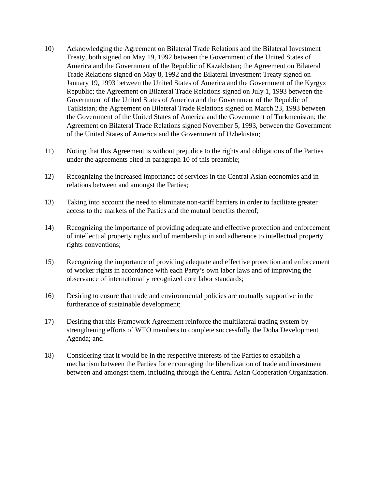- 10) Acknowledging the Agreement on Bilateral Trade Relations and the Bilateral Investment Treaty, both signed on May 19, 1992 between the Government of the United States of America and the Government of the Republic of Kazakhstan; the Agreement on Bilateral Trade Relations signed on May 8, 1992 and the Bilateral Investment Treaty signed on January 19, 1993 between the United States of America and the Government of the Kyrgyz Republic; the Agreement on Bilateral Trade Relations signed on July 1, 1993 between the Government of the United States of America and the Government of the Republic of Tajikistan; the Agreement on Bilateral Trade Relations signed on March 23, 1993 between the Government of the United States of America and the Government of Turkmenistan; the Agreement on Bilateral Trade Relations signed November 5, 1993, between the Government of the United States of America and the Government of Uzbekistan;
- 11) Noting that this Agreement is without prejudice to the rights and obligations of the Parties under the agreements cited in paragraph 10 of this preamble;
- 12) Recognizing the increased importance of services in the Central Asian economies and in relations between and amongst the Parties;
- 13) Taking into account the need to eliminate non-tariff barriers in order to facilitate greater access to the markets of the Parties and the mutual benefits thereof;
- 14) Recognizing the importance of providing adequate and effective protection and enforcement of intellectual property rights and of membership in and adherence to intellectual property rights conventions;
- 15) Recognizing the importance of providing adequate and effective protection and enforcement of worker rights in accordance with each Party's own labor laws and of improving the observance of internationally recognized core labor standards;
- 16) Desiring to ensure that trade and environmental policies are mutually supportive in the furtherance of sustainable development;
- 17) Desiring that this Framework Agreement reinforce the multilateral trading system by strengthening efforts of WTO members to complete successfully the Doha Development Agenda; and
- 18) Considering that it would be in the respective interests of the Parties to establish a mechanism between the Parties for encouraging the liberalization of trade and investment between and amongst them, including through the Central Asian Cooperation Organization.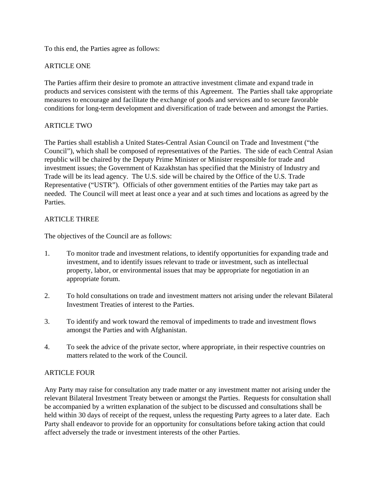To this end, the Parties agree as follows:

# ARTICLE ONE

The Parties affirm their desire to promote an attractive investment climate and expand trade in products and services consistent with the terms of this Agreement. The Parties shall take appropriate measures to encourage and facilitate the exchange of goods and services and to secure favorable conditions for long-term development and diversification of trade between and amongst the Parties.

# ARTICLE TWO

The Parties shall establish a United States-Central Asian Council on Trade and Investment ("the Council"), which shall be composed of representatives of the Parties. The side of each Central Asian republic will be chaired by the Deputy Prime Minister or Minister responsible for trade and investment issues; the Government of Kazakhstan has specified that the Ministry of Industry and Trade will be its lead agency. The U.S. side will be chaired by the Office of the U.S. Trade Representative ("USTR"). Officials of other government entities of the Parties may take part as needed. The Council will meet at least once a year and at such times and locations as agreed by the Parties.

### ARTICLE THREE

The objectives of the Council are as follows:

- 1. To monitor trade and investment relations, to identify opportunities for expanding trade and investment, and to identify issues relevant to trade or investment, such as intellectual property, labor, or environmental issues that may be appropriate for negotiation in an appropriate forum.
- 2. To hold consultations on trade and investment matters not arising under the relevant Bilateral Investment Treaties of interest to the Parties.
- 3. To identify and work toward the removal of impediments to trade and investment flows amongst the Parties and with Afghanistan.
- 4. To seek the advice of the private sector, where appropriate, in their respective countries on matters related to the work of the Council.

#### ARTICLE FOUR

Any Party may raise for consultation any trade matter or any investment matter not arising under the relevant Bilateral Investment Treaty between or amongst the Parties. Requests for consultation shall be accompanied by a written explanation of the subject to be discussed and consultations shall be held within 30 days of receipt of the request, unless the requesting Party agrees to a later date. Each Party shall endeavor to provide for an opportunity for consultations before taking action that could affect adversely the trade or investment interests of the other Parties.